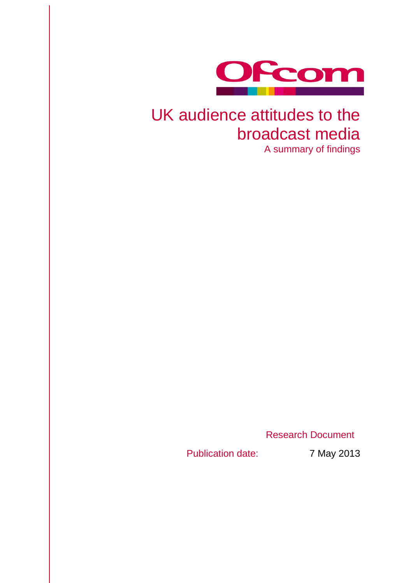

# UK audience attitudes to the broadcast media

A summary of findings

Research Document

Publication date: 7 May 2013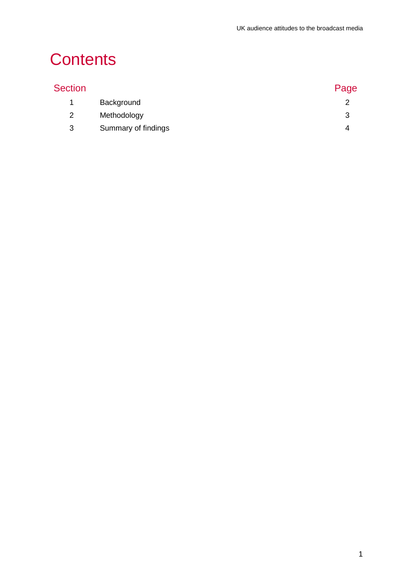## **Contents**

| <b>Section</b> |                     | Page |
|----------------|---------------------|------|
| 1.             | Background          |      |
| 2              | Methodology         | 3    |
| 3              | Summary of findings |      |
|                |                     |      |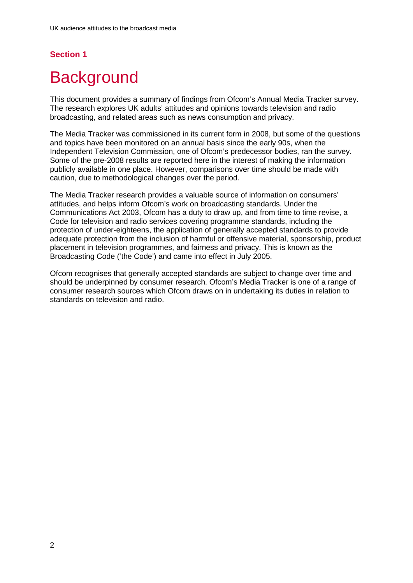## **Section 1**

## <span id="page-2-0"></span>**Background**

This document provides a summary of findings from Ofcom's Annual Media Tracker survey. The research explores UK adults' attitudes and opinions towards television and radio broadcasting, and related areas such as news consumption and privacy.

The Media Tracker was commissioned in its current form in 2008, but some of the questions and topics have been monitored on an annual basis since the early 90s, when the Independent Television Commission, one of Ofcom's predecessor bodies, ran the survey. Some of the pre-2008 results are reported here in the interest of making the information publicly available in one place. However, comparisons over time should be made with caution, due to methodological changes over the period.

The Media Tracker research provides a valuable source of information on consumers' attitudes, and helps inform Ofcom's work on broadcasting standards. Under the Communications Act 2003, Ofcom has a duty to draw up, and from time to time revise, a Code for television and radio services covering programme standards, including the protection of under-eighteens, the application of generally accepted standards to provide adequate protection from the inclusion of harmful or offensive material, sponsorship, product placement in television programmes, and fairness and privacy. This is known as the Broadcasting Code ('the Code') and came into effect in July 2005.

Ofcom recognises that generally accepted standards are subject to change over time and should be underpinned by consumer research. Ofcom's Media Tracker is one of a range of consumer research sources which Ofcom draws on in undertaking its duties in relation to standards on television and radio.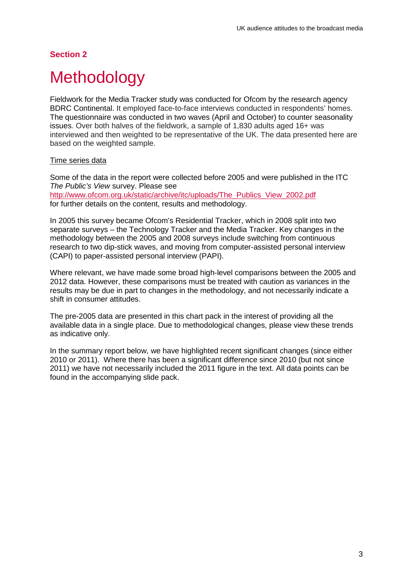### **Section 2**

## <span id="page-3-0"></span>**Methodology**

Fieldwork for the Media Tracker study was conducted for Ofcom by the research agency BDRC Continental. It employed face-to-face interviews conducted in respondents' homes. The questionnaire was conducted in two waves (April and October) to counter seasonality issues. Over both halves of the fieldwork, a sample of 1,830 adults aged 16+ was interviewed and then weighted to be representative of the UK. The data presented here are based on the weighted sample.

#### Time series data

Some of the data in the report were collected before 2005 and were published in the ITC *The Public's View* survey. Please see [http://www.ofcom.org.uk/static/archive/itc/uploads/The\\_Publics\\_View\\_2002.pdf](http://www.ofcom.org.uk/static/archive/itc/uploads/The_Publics_View_2002.pdf) for further details on the content, results and methodology.

In 2005 this survey became Ofcom's Residential Tracker, which in 2008 split into two separate surveys – the Technology Tracker and the Media Tracker. Key changes in the methodology between the 2005 and 2008 surveys include switching from continuous research to two dip-stick waves, and moving from computer-assisted personal interview (CAPI) to paper-assisted personal interview (PAPI).

Where relevant, we have made some broad high-level comparisons between the 2005 and 2012 data. However, these comparisons must be treated with caution as variances in the results may be due in part to changes in the methodology, and not necessarily indicate a shift in consumer attitudes.

The pre-2005 data are presented in this chart pack in the interest of providing all the available data in a single place. Due to methodological changes, please view these trends as indicative only.

In the summary report below, we have highlighted recent significant changes (since either 2010 or 2011). Where there has been a significant difference since 2010 (but not since 2011) we have not necessarily included the 2011 figure in the text. All data points can be found in the accompanying slide pack.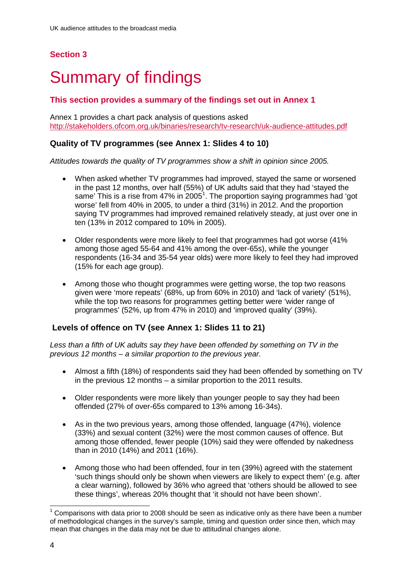## **Section 3**

## <span id="page-4-0"></span>3 Summary of findings

#### **This section provides a summary of the findings set out in Annex 1**

Annex 1 provides a chart pack analysis of questions asked <http://stakeholders.ofcom.org.uk/binaries/research/tv-research/uk-audience-attitudes.pdf>

#### **Quality of TV programmes (see Annex 1: Slides 4 to 10)**

*Attitudes towards the quality of TV programmes show a shift in opinion since 2005.* 

- When asked whether TV programmes had improved, stayed the same or worsened in the past 12 months, over half (55%) of UK adults said that they had 'stayed the same' This is a rise from 47% in 2005<sup>[1](#page-4-1)</sup>. The proportion saying programmes had 'got worse' fell from 40% in 2005, to under a third (31%) in 2012. And the proportion saying TV programmes had improved remained relatively steady, at just over one in ten (13% in 2012 compared to 10% in 2005).
- Older respondents were more likely to feel that programmes had got worse (41% among those aged 55-64 and 41% among the over-65s), while the younger respondents (16-34 and 35-54 year olds) were more likely to feel they had improved (15% for each age group).
- Among those who thought programmes were getting worse, the top two reasons given were 'more repeats' (68%, up from 60% in 2010) and 'lack of variety' (51%), while the top two reasons for programmes getting better were 'wider range of programmes' (52%, up from 47% in 2010) and 'improved quality' (39%).

#### **Levels of offence on TV (see Annex 1: Slides 11 to 21)**

*Less than a fifth of UK adults say they have been offended by something on TV in the previous 12 months – a similar proportion to the previous year.* 

- Almost a fifth (18%) of respondents said they had been offended by something on TV in the previous 12 months – a similar proportion to the 2011 results.
- Older respondents were more likely than younger people to say they had been offended (27% of over-65s compared to 13% among 16-34s).
- As in the two previous years, among those offended, language (47%), violence (33%) and sexual content (32%) were the most common causes of offence. But among those offended, fewer people (10%) said they were offended by nakedness than in 2010 (14%) and 2011 (16%).
- Among those who had been offended, four in ten (39%) agreed with the statement 'such things should only be shown when viewers are likely to expect them' (e.g. after a clear warning), followed by 36% who agreed that 'others should be allowed to see these things', whereas 20% thought that 'it should not have been shown'.

<span id="page-4-1"></span> <sup>1</sup> Comparisons with data prior to 2008 should be seen as indicative only as there have been a number of methodological changes in the survey's sample, timing and question order since then, which may mean that changes in the data may not be due to attitudinal changes alone.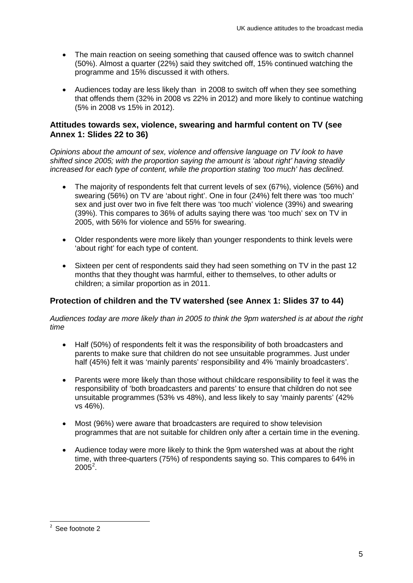- The main reaction on seeing something that caused offence was to switch channel (50%). Almost a quarter (22%) said they switched off, 15% continued watching the programme and 15% discussed it with others.
- Audiences today are less likely than in 2008 to switch off when they see something that offends them (32% in 2008 vs 22% in 2012) and more likely to continue watching (5% in 2008 vs 15% in 2012).

#### **Attitudes towards sex, violence, swearing and harmful content on TV (see Annex 1: Slides 22 to 36)**

*Opinions about the amount of sex, violence and offensive language on TV look to have shifted since 2005; with the proportion saying the amount is 'about right' having steadily increased for each type of content, while the proportion stating 'too much' has declined.* 

- The majority of respondents felt that current levels of sex (67%), violence (56%) and swearing (56%) on TV are 'about right'. One in four (24%) felt there was 'too much' sex and just over two in five felt there was 'too much' violence (39%) and swearing (39%). This compares to 36% of adults saying there was 'too much' sex on TV in 2005, with 56% for violence and 55% for swearing.
- Older respondents were more likely than younger respondents to think levels were 'about right' for each type of content.
- Sixteen per cent of respondents said they had seen something on TV in the past 12 months that they thought was harmful, either to themselves, to other adults or children; a similar proportion as in 2011.

#### **Protection of children and the TV watershed (see Annex 1: Slides 37 to 44)**

*Audiences today are more likely than in 2005 to think the 9pm watershed is at about the right time* 

- Half (50%) of respondents felt it was the responsibility of both broadcasters and parents to make sure that children do not see unsuitable programmes. Just under half (45%) felt it was 'mainly parents' responsibility and 4% 'mainly broadcasters'.
- Parents were more likely than those without childcare responsibility to feel it was the responsibility of 'both broadcasters and parents' to ensure that children do not see unsuitable programmes (53% vs 48%), and less likely to say 'mainly parents' (42% vs 46%).
- Most (96%) were aware that broadcasters are required to show television programmes that are not suitable for children only after a certain time in the evening.
- Audience today were more likely to think the 9pm watershed was at about the right time, with three-quarters (75%) of respondents saying so. This compares to 64% in  $2005^2$  $2005^2$ .

<span id="page-5-0"></span> $\frac{1}{2}$  $2$  See footnote 2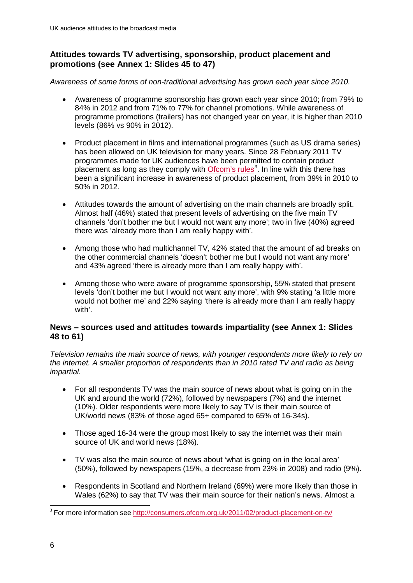### **Attitudes towards TV advertising, sponsorship, product placement and promotions (see Annex 1: Slides 45 to 47)**

*Awareness of some forms of non-traditional advertising has grown each year since 2010.* 

- Awareness of programme sponsorship has grown each year since 2010; from 79% to 84% in 2012 and from 71% to 77% for channel promotions. While awareness of programme promotions (trailers) has not changed year on year, it is higher than 2010 levels (86% vs 90% in 2012).
- Product placement in films and international programmes (such as US drama series) has been allowed on UK television for many years. Since 28 February 2011 TV programmes made for UK audiences have been permitted to contain product placement as long as they comply with **Ofcom's rules**<sup>[3](#page-6-0)</sup>. In line with this there has been a significant increase in awareness of product placement, from 39% in 2010 to 50% in 2012.
- Attitudes towards the amount of advertising on the main channels are broadly split. Almost half (46%) stated that present levels of advertising on the five main TV channels 'don't bother me but I would not want any more'; two in five (40%) agreed there was 'already more than I am really happy with'.
- Among those who had multichannel TV, 42% stated that the amount of ad breaks on the other commercial channels 'doesn't bother me but I would not want any more' and 43% agreed 'there is already more than I am really happy with'.
- Among those who were aware of programme sponsorship, 55% stated that present levels 'don't bother me but I would not want any more', with 9% stating 'a little more would not bother me' and 22% saying 'there is already more than I am really happy with'.

#### **News – sources used and attitudes towards impartiality (see Annex 1: Slides 48 to 61)**

*Television remains the main source of news, with younger respondents more likely to rely on the internet. A smaller proportion of respondents than in 2010 rated TV and radio as being impartial.*

- For all respondents TV was the main source of news about what is going on in the UK and around the world (72%), followed by newspapers (7%) and the internet (10%). Older respondents were more likely to say TV is their main source of UK/world news (83% of those aged 65+ compared to 65% of 16-34s).
- Those aged 16-34 were the group most likely to say the internet was their main source of UK and world news (18%).
- TV was also the main source of news about 'what is going on in the local area' (50%), followed by newspapers (15%, a decrease from 23% in 2008) and radio (9%).
- Respondents in Scotland and Northern Ireland (69%) were more likely than those in Wales (62%) to say that TV was their main source for their nation's news. Almost a

<span id="page-6-0"></span><sup>&</sup>lt;sup>3</sup> For more information see<http://consumers.ofcom.org.uk/2011/02/product-placement-on-tv/>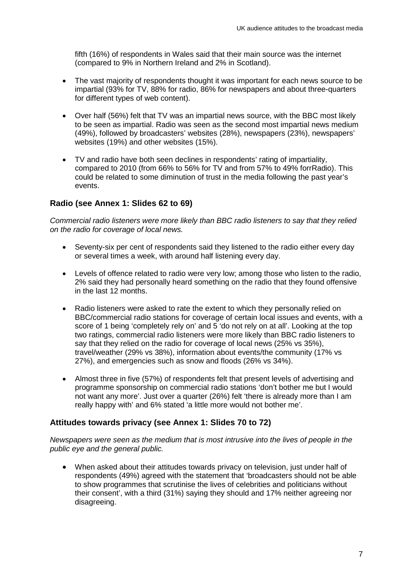fifth (16%) of respondents in Wales said that their main source was the internet (compared to 9% in Northern Ireland and 2% in Scotland).

- The vast majority of respondents thought it was important for each news source to be impartial (93% for TV, 88% for radio, 86% for newspapers and about three-quarters for different types of web content).
- Over half (56%) felt that TV was an impartial news source, with the BBC most likely to be seen as impartial. Radio was seen as the second most impartial news medium (49%), followed by broadcasters' websites (28%), newspapers (23%), newspapers' websites (19%) and other websites (15%).
- TV and radio have both seen declines in respondents' rating of impartiality, compared to 2010 (from 66% to 56% for TV and from 57% to 49% forrRadio). This could be related to some diminution of trust in the media following the past year's events.

#### **Radio (see Annex 1: Slides 62 to 69)**

*Commercial radio listeners were more likely than BBC radio listeners to say that they relied on the radio for coverage of local news.*

- Seventy-six per cent of respondents said they listened to the radio either every day or several times a week, with around half listening every day.
- Levels of offence related to radio were very low; among those who listen to the radio, 2% said they had personally heard something on the radio that they found offensive in the last 12 months.
- Radio listeners were asked to rate the extent to which they personally relied on BBC/commercial radio stations for coverage of certain local issues and events, with a score of 1 being 'completely rely on' and 5 'do not rely on at all'. Looking at the top two ratings, commercial radio listeners were more likely than BBC radio listeners to say that they relied on the radio for coverage of local news (25% vs 35%), travel/weather (29% vs 38%), information about events/the community (17% vs 27%), and emergencies such as snow and floods (26% vs 34%).
- Almost three in five (57%) of respondents felt that present levels of advertising and programme sponsorship on commercial radio stations 'don't bother me but I would not want any more'. Just over a quarter (26%) felt 'there is already more than I am really happy with' and 6% stated 'a little more would not bother me'.

#### **Attitudes towards privacy (see Annex 1: Slides 70 to 72)**

*Newspapers were seen as the medium that is most intrusive into the lives of people in the public eye and the general public.*

• When asked about their attitudes towards privacy on television, just under half of respondents (49%) agreed with the statement that 'broadcasters should not be able to show programmes that scrutinise the lives of celebrities and politicians without their consent', with a third (31%) saying they should and 17% neither agreeing nor disagreeing.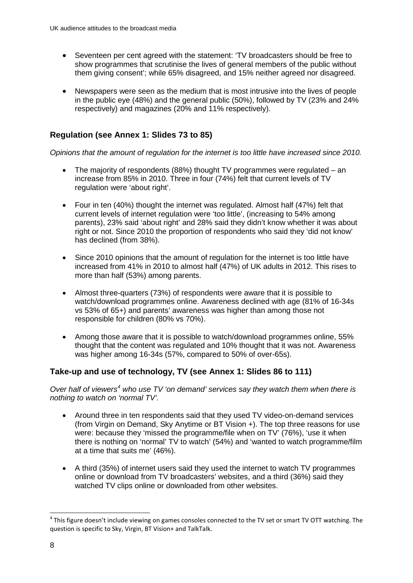- Seventeen per cent agreed with the statement: 'TV broadcasters should be free to show programmes that scrutinise the lives of general members of the public without them giving consent'; while 65% disagreed, and 15% neither agreed nor disagreed.
- Newspapers were seen as the medium that is most intrusive into the lives of people in the public eye (48%) and the general public (50%), followed by TV (23% and 24% respectively) and magazines (20% and 11% respectively).

### **Regulation (see Annex 1: Slides 73 to 85)**

*Opinions that the amount of regulation for the internet is too little have increased since 2010.*

- The majority of respondents (88%) thought TV programmes were regulated an increase from 85% in 2010. Three in four (74%) felt that current levels of TV regulation were 'about right'.
- Four in ten (40%) thought the internet was regulated. Almost half (47%) felt that current levels of internet regulation were 'too little', (increasing to 54% among parents), 23% said 'about right' and 28% said they didn't know whether it was about right or not. Since 2010 the proportion of respondents who said they 'did not know' has declined (from 38%).
- Since 2010 opinions that the amount of regulation for the internet is too little have increased from 41% in 2010 to almost half (47%) of UK adults in 2012. This rises to more than half (53%) among parents.
- Almost three-quarters (73%) of respondents were aware that it is possible to watch/download programmes online. Awareness declined with age (81% of 16-34s vs 53% of 65+) and parents' awareness was higher than among those not responsible for children (80% vs 70%).
- Among those aware that it is possible to watch/download programmes online, 55% thought that the content was regulated and 10% thought that it was not. Awareness was higher among 16-34s (57%, compared to 50% of over-65s).

### **Take-up and use of technology, TV (see Annex 1: Slides 86 to 111)**

*Over half of viewers[4](#page-8-0) who use TV 'on demand' services say they watch them when there is nothing to watch on 'normal TV'.*

- Around three in ten respondents said that they used TV video-on-demand services (from Virgin on Demand, Sky Anytime or BT Vision +). The top three reasons for use were: because they 'missed the programme/file when on TV' (76%), 'use it when there is nothing on 'normal' TV to watch' (54%) and 'wanted to watch programme/film at a time that suits me' (46%).
- A third (35%) of internet users said they used the internet to watch TV programmes online or download from TV broadcasters' websites, and a third (36%) said they watched TV clips online or downloaded from other websites.

<span id="page-8-0"></span> $4$  This figure doesn't include viewing on games consoles connected to the TV set or smart TV OTT watching. The question is specific to Sky, Virgin, BT Vision+ and TalkTalk.